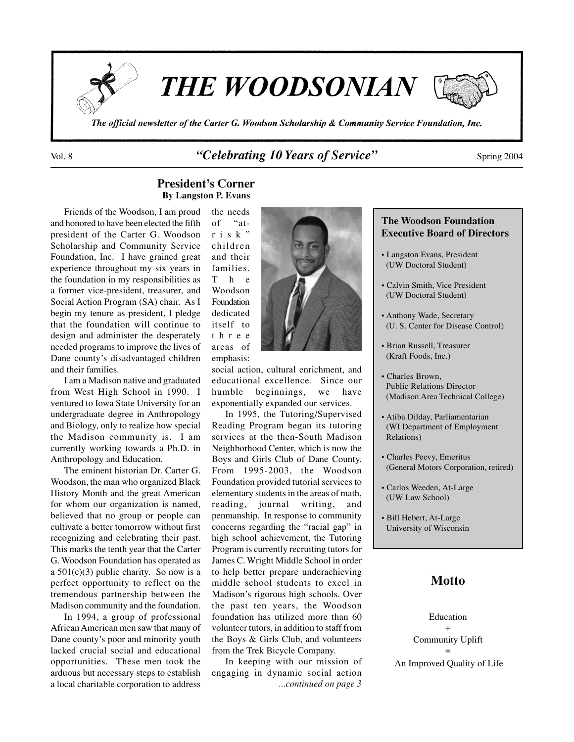

**THE WOODSONIAN** 



The official newsletter of the Carter G. Woodson Scholarship & Community Service Foundation, Inc.

# Vol. 8 *Celebrating 10 Years of Service Spring 2004 Spring 2004*

### **President's Corner By Langston P. Evans**

Friends of the Woodson, I am proud and honored to have been elected the fifth president of the Carter G. Woodson Scholarship and Community Service Foundation, Inc. I have grained great experience throughout my six years in the foundation in my responsibilities as a former vice-president, treasurer, and Social Action Program (SA) chair. As I begin my tenure as president, I pledge that the foundation will continue to design and administer the desperately needed programs to improve the lives of Dane county's disadvantaged children and their families.

I am a Madison native and graduated from West High School in 1990. I ventured to Iowa State University for an undergraduate degree in Anthropology and Biology, only to realize how special the Madison community is. I am currently working towards a Ph.D. in Anthropology and Education.

The eminent historian Dr. Carter G. Woodson, the man who organized Black History Month and the great American for whom our organization is named, believed that no group or people can cultivate a better tomorrow without first recognizing and celebrating their past. This marks the tenth year that the Carter G. Woodson Foundation has operated as a  $501(c)(3)$  public charity. So now is a perfect opportunity to reflect on the tremendous partnership between the Madison community and the foundation.

In 1994, a group of professional African American men saw that many of Dane county's poor and minority youth lacked crucial social and educational opportunities. These men took the arduous but necessary steps to establish a local charitable corporation to address



social action, cultural enrichment, and educational excellence. Since our humble beginnings, we have exponentially expanded our services.

In 1995, the Tutoring/Supervised Reading Program began its tutoring services at the then-South Madison Neighborhood Center, which is now the Boys and Girls Club of Dane County. From 1995-2003, the Woodson Foundation provided tutorial services to elementary students in the areas of math, reading, journal writing, and penmanship. In response to community concerns regarding the "racial gap" in high school achievement, the Tutoring Program is currently recruiting tutors for James C. Wright Middle School in order to help better prepare underachieving middle school students to excel in Madison's rigorous high schools. Over the past ten years, the Woodson foundation has utilized more than 60 volunteer tutors, in addition to staff from the Boys & Girls Club, and volunteers from the Trek Bicycle Company.

In keeping with our mission of engaging in dynamic social action *...continued on page 3*

### **The Woodson Foundation Executive Board of Directors**

- Langston Evans, President (UW Doctoral Student)
- Calvin Smith, Vice President (UW Doctoral Student)
- Anthony Wade, Secretary (U. S. Center for Disease Control)
- Brian Russell, Treasurer (Kraft Foods, Inc.)
- Charles Brown, Public Relations Director (Madison Area Technical College)
- Atiba Dilday, Parliamentarian (WI Department of Employment Relations)
- Charles Peevy, Emeritus (General Motors Corporation, retired)
- Carlos Weeden, At-Large (UW Law School)
- Bill Hebert, At-Large University of Wisconsin

# **Motto**

Education + Community Uplift =

An Improved Quality of Life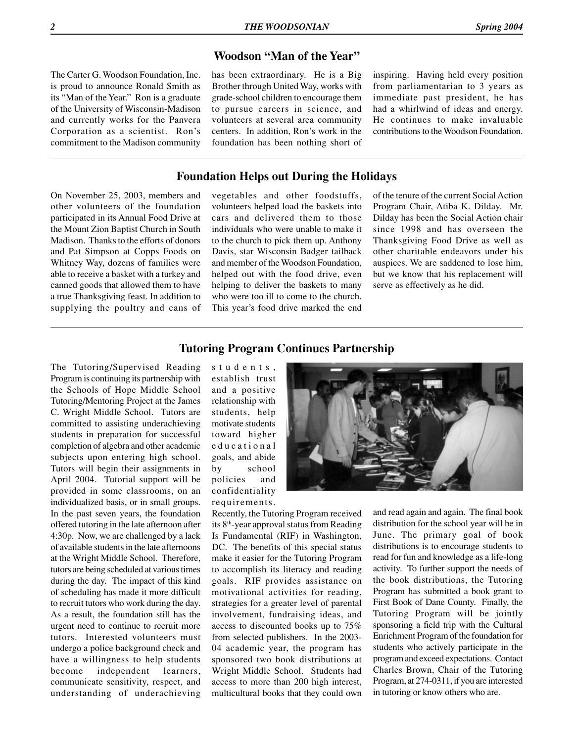# **Woodson "Man of the Year"**

The Carter G. Woodson Foundation, Inc. is proud to announce Ronald Smith as its "Man of the Year." Ron is a graduate of the University of Wisconsin-Madison and currently works for the Panvera Corporation as a scientist. Ron's commitment to the Madison community

On November 25, 2003, members and other volunteers of the foundation participated in its Annual Food Drive at the Mount Zion Baptist Church in South Madison. Thanks to the efforts of donors and Pat Simpson at Copps Foods on Whitney Way, dozens of families were able to receive a basket with a turkey and canned goods that allowed them to have a true Thanksgiving feast. In addition to supplying the poultry and cans of has been extraordinary. He is a Big Brother through United Way, works with grade-school children to encourage them to pursue careers in science, and volunteers at several area community centers. In addition, Ron's work in the foundation has been nothing short of inspiring. Having held every position from parliamentarian to 3 years as immediate past president, he has had a whirlwind of ideas and energy. He continues to make invaluable contributions to the Woodson Foundation.

# **Foundation Helps out During the Holidays**

vegetables and other foodstuffs, volunteers helped load the baskets into cars and delivered them to those individuals who were unable to make it to the church to pick them up. Anthony Davis, star Wisconsin Badger tailback and member of the Woodson Foundation, helped out with the food drive, even helping to deliver the baskets to many who were too ill to come to the church. This year's food drive marked the end of the tenure of the current Social Action Program Chair, Atiba K. Dilday. Mr. Dilday has been the Social Action chair since 1998 and has overseen the Thanksgiving Food Drive as well as other charitable endeavors under his auspices. We are saddened to lose him, but we know that his replacement will serve as effectively as he did.

### **Tutoring Program Continues Partnership**

The Tutoring/Supervised Reading Program is continuing its partnership with the Schools of Hope Middle School Tutoring/Mentoring Project at the James C. Wright Middle School. Tutors are committed to assisting underachieving students in preparation for successful completion of algebra and other academic subjects upon entering high school. Tutors will begin their assignments in April 2004. Tutorial support will be provided in some classrooms, on an individualized basis, or in small groups. In the past seven years, the foundation offered tutoring in the late afternoon after 4:30p. Now, we are challenged by a lack of available students in the late afternoons at the Wright Middle School. Therefore, tutors are being scheduled at various times during the day. The impact of this kind of scheduling has made it more difficult to recruit tutors who work during the day. As a result, the foundation still has the urgent need to continue to recruit more tutors. Interested volunteers must undergo a police background check and have a willingness to help students become independent learners, communicate sensitivity, respect, and understanding of underachieving

students, establish trust and a positive relationship with students, help motivate students toward higher educational goals, and abide by school policies and confidentiality requirements.

Recently, the Tutoring Program received its 8th-year approval status from Reading Is Fundamental (RIF) in Washington, DC. The benefits of this special status make it easier for the Tutoring Program to accomplish its literacy and reading goals. RIF provides assistance on motivational activities for reading, strategies for a greater level of parental involvement, fundraising ideas, and access to discounted books up to 75% from selected publishers. In the 2003- 04 academic year, the program has sponsored two book distributions at Wright Middle School. Students had access to more than 200 high interest, multicultural books that they could own



and read again and again. The final book distribution for the school year will be in June. The primary goal of book distributions is to encourage students to read for fun and knowledge as a life-long activity. To further support the needs of the book distributions, the Tutoring Program has submitted a book grant to First Book of Dane County. Finally, the Tutoring Program will be jointly sponsoring a field trip with the Cultural Enrichment Program of the foundation for students who actively participate in the program and exceed expectations. Contact Charles Brown, Chair of the Tutoring Program, at 274-0311, if you are interested in tutoring or know others who are.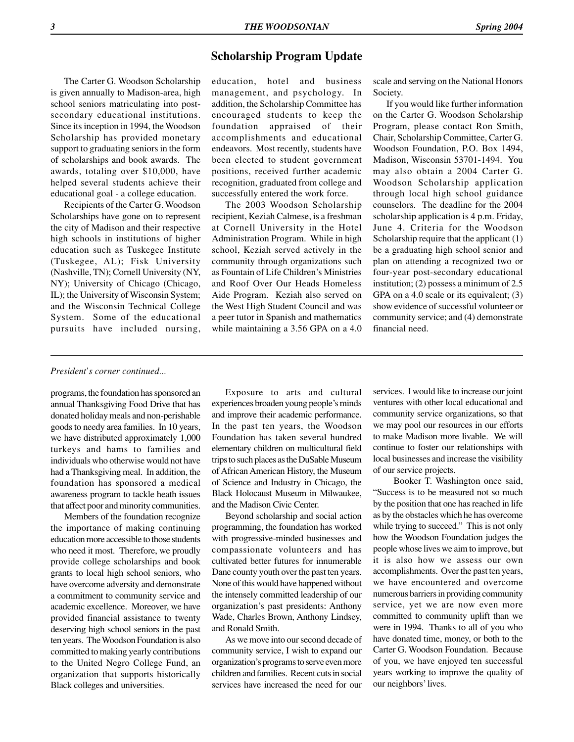## **Scholarship Program Update**

The Carter G. Woodson Scholarship is given annually to Madison-area, high school seniors matriculating into postsecondary educational institutions. Since its inception in 1994, the Woodson Scholarship has provided monetary support to graduating seniors in the form of scholarships and book awards. The awards, totaling over \$10,000, have helped several students achieve their educational goal - a college education.

Recipients of the Carter G. Woodson Scholarships have gone on to represent the city of Madison and their respective high schools in institutions of higher education such as Tuskegee Institute (Tuskegee, AL); Fisk University (Nashville, TN); Cornell University (NY, NY); University of Chicago (Chicago, IL); the University of Wisconsin System; and the Wisconsin Technical College System. Some of the educational pursuits have included nursing, education, hotel and business management, and psychology. In addition, the Scholarship Committee has encouraged students to keep the foundation appraised of their accomplishments and educational endeavors. Most recently, students have been elected to student government positions, received further academic recognition, graduated from college and successfully entered the work force.

The 2003 Woodson Scholarship recipient, Keziah Calmese, is a freshman at Cornell University in the Hotel Administration Program. While in high school, Keziah served actively in the community through organizations such as Fountain of Life Children's Ministries and Roof Over Our Heads Homeless Aide Program. Keziah also served on the West High Student Council and was a peer tutor in Spanish and mathematics while maintaining a 3.56 GPA on a 4.0

scale and serving on the National Honors Society.

If you would like further information on the Carter G. Woodson Scholarship Program, please contact Ron Smith, Chair, Scholarship Committee, Carter G. Woodson Foundation, P.O. Box 1494, Madison, Wisconsin 53701-1494. You may also obtain a 2004 Carter G. Woodson Scholarship application through local high school guidance counselors. The deadline for the 2004 scholarship application is 4 p.m. Friday, June 4. Criteria for the Woodson Scholarship require that the applicant (1) be a graduating high school senior and plan on attending a recognized two or four-year post-secondary educational institution; (2) possess a minimum of 2.5 GPA on a 4.0 scale or its equivalent; (3) show evidence of successful volunteer or community service; and (4) demonstrate financial need.

#### *President's corner continued...*

programs, the foundation has sponsored an annual Thanksgiving Food Drive that has donated holiday meals and non-perishable goods to needy area families. In 10 years, we have distributed approximately 1,000 turkeys and hams to families and individuals who otherwise would not have had a Thanksgiving meal. In addition, the foundation has sponsored a medical awareness program to tackle heath issues that affect poor and minority communities.

Members of the foundation recognize the importance of making continuing education more accessible to those students who need it most. Therefore, we proudly provide college scholarships and book grants to local high school seniors, who have overcome adversity and demonstrate a commitment to community service and academic excellence. Moreover, we have provided financial assistance to twenty deserving high school seniors in the past ten years. The Woodson Foundation is also committed to making yearly contributions to the United Negro College Fund, an organization that supports historically Black colleges and universities.

Exposure to arts and cultural experiences broaden young people's minds and improve their academic performance. In the past ten years, the Woodson Foundation has taken several hundred elementary children on multicultural field trips to such places as the DuSable Museum of African American History, the Museum of Science and Industry in Chicago, the Black Holocaust Museum in Milwaukee, and the Madison Civic Center.

Beyond scholarship and social action programming, the foundation has worked with progressive-minded businesses and compassionate volunteers and has cultivated better futures for innumerable Dane county youth over the past ten years. None of this would have happened without the intensely committed leadership of our organization's past presidents: Anthony Wade, Charles Brown, Anthony Lindsey, and Ronald Smith.

As we move into our second decade of community service, I wish to expand our organization's programs to serve even more children and families. Recent cuts in social services have increased the need for our services. I would like to increase our joint ventures with other local educational and community service organizations, so that we may pool our resources in our efforts to make Madison more livable. We will continue to foster our relationships with local businesses and increase the visibility of our service projects.

Booker T. Washington once said, "Success is to be measured not so much by the position that one has reached in life as by the obstacles which he has overcome while trying to succeed." This is not only how the Woodson Foundation judges the people whose lives we aim to improve, but it is also how we assess our own accomplishments. Over the past ten years, we have encountered and overcome numerous barriers in providing community service, yet we are now even more committed to community uplift than we were in 1994. Thanks to all of you who have donated time, money, or both to the Carter G. Woodson Foundation. Because of you, we have enjoyed ten successful years working to improve the quality of our neighbors' lives.